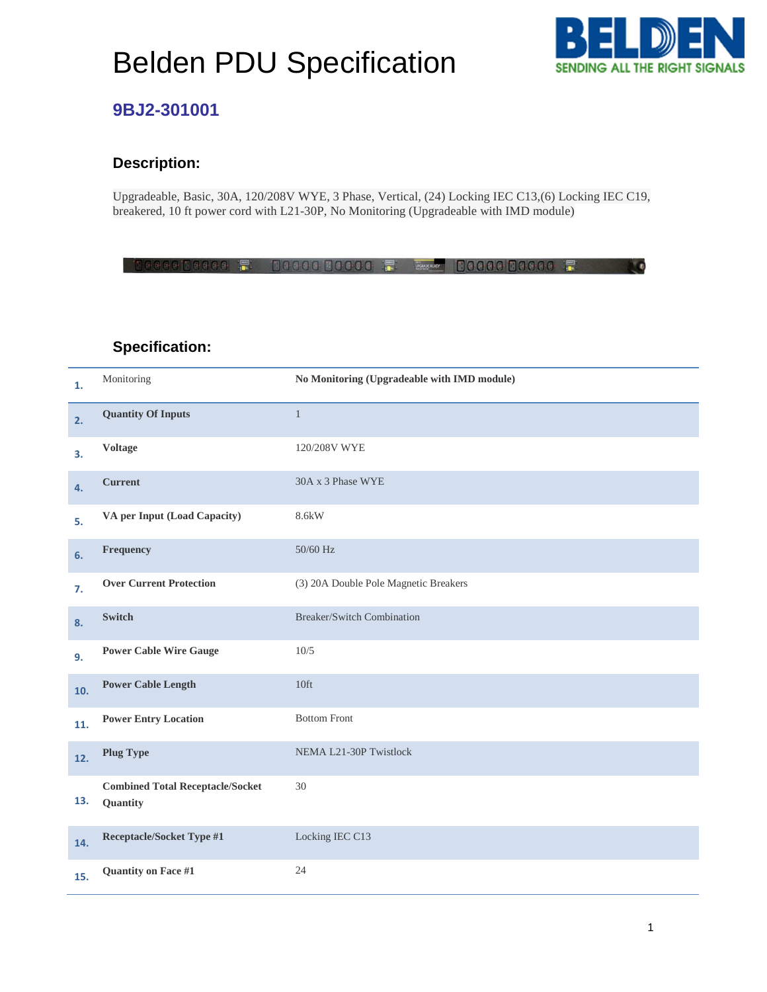## Belden PDU Specification



 $\mathbf{R}$ 

### **9BJ2-301001**

### **Description:**

Upgradeable, Basic, 30A, 120/208V WYE, 3 Phase, Vertical, (24) Locking IEC C13,(6) Locking IEC C19, breakered, 10 ft power cord with L21-30P, No Monitoring (Upgradeable with IMD module)

8888108888 F 1088882088 F F FOOD 08888 008888

### **Specification:**

| 1.  | Monitoring                                          | No Monitoring (Upgradeable with IMD module) |
|-----|-----------------------------------------------------|---------------------------------------------|
| 2.  | <b>Quantity Of Inputs</b>                           | $\mathbf{1}$                                |
| 3.  | <b>Voltage</b>                                      | 120/208V WYE                                |
| 4.  | <b>Current</b>                                      | 30A x 3 Phase WYE                           |
| 5.  | VA per Input (Load Capacity)                        | 8.6kW                                       |
| 6.  | Frequency                                           | 50/60 Hz                                    |
| 7.  | <b>Over Current Protection</b>                      | (3) 20A Double Pole Magnetic Breakers       |
| 8.  | Switch                                              | Breaker/Switch Combination                  |
| 9.  | <b>Power Cable Wire Gauge</b>                       | 10/5                                        |
| 10. | <b>Power Cable Length</b>                           | 10 <sup>ft</sup>                            |
| 11. | <b>Power Entry Location</b>                         | <b>Bottom Front</b>                         |
| 12. | <b>Plug Type</b>                                    | NEMA L21-30P Twistlock                      |
| 13. | <b>Combined Total Receptacle/Socket</b><br>Quantity | 30                                          |
| 14. | <b>Receptacle/Socket Type #1</b>                    | Locking IEC C13                             |
| 15. | Quantity on Face #1                                 | 24                                          |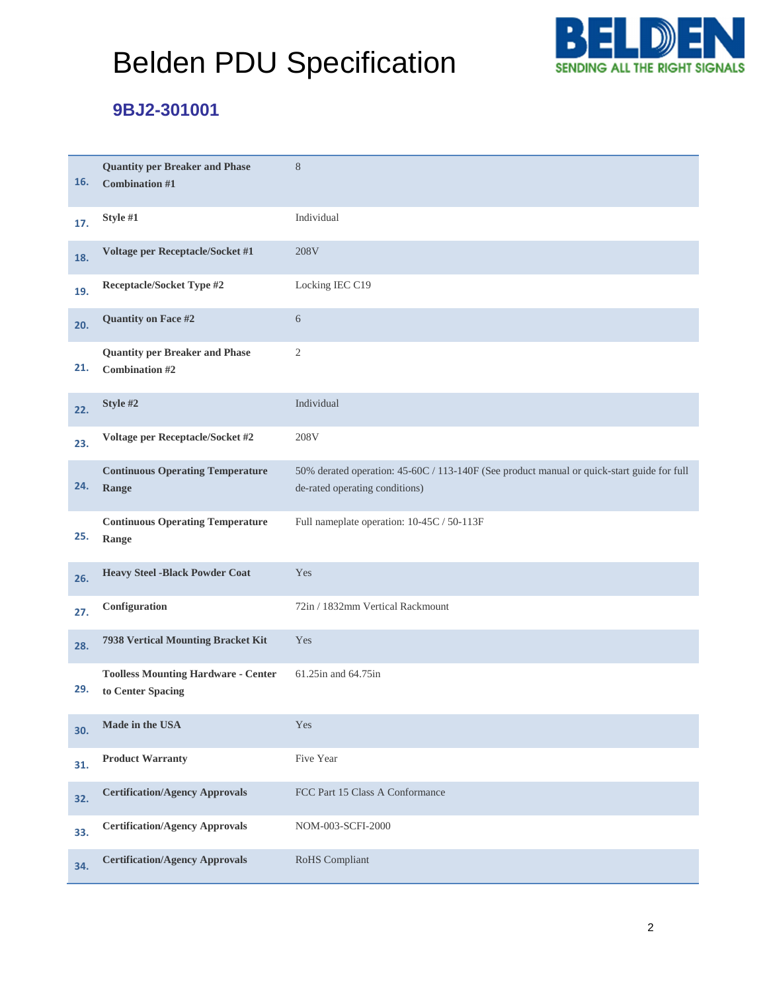# Belden PDU Specification



## **9BJ2-301001**

| 16. | <b>Quantity per Breaker and Phase</b><br><b>Combination #1</b>  | 8                                                                                                                            |
|-----|-----------------------------------------------------------------|------------------------------------------------------------------------------------------------------------------------------|
| 17. | Style #1                                                        | Individual                                                                                                                   |
| 18. | Voltage per Receptacle/Socket #1                                | 208V                                                                                                                         |
| 19. | Receptacle/Socket Type #2                                       | Locking IEC C19                                                                                                              |
| 20. | Quantity on Face #2                                             | 6                                                                                                                            |
| 21. | <b>Quantity per Breaker and Phase</b><br><b>Combination #2</b>  | $\overline{c}$                                                                                                               |
| 22. | Style #2                                                        | Individual                                                                                                                   |
| 23. | Voltage per Receptacle/Socket #2                                | 208V                                                                                                                         |
| 24. | <b>Continuous Operating Temperature</b><br>Range                | 50% derated operation: 45-60C / 113-140F (See product manual or quick-start guide for full<br>de-rated operating conditions) |
| 25. | <b>Continuous Operating Temperature</b><br>Range                | Full nameplate operation: 10-45C / 50-113F                                                                                   |
| 26. | <b>Heavy Steel -Black Powder Coat</b>                           | Yes                                                                                                                          |
| 27. | Configuration                                                   | 72in / 1832mm Vertical Rackmount                                                                                             |
| 28. | 7938 Vertical Mounting Bracket Kit                              | Yes                                                                                                                          |
| 29. | <b>Toolless Mounting Hardware - Center</b><br>to Center Spacing | 61.25in and 64.75in                                                                                                          |
| 30. | Made in the USA                                                 | Yes                                                                                                                          |
| 31. | <b>Product Warranty</b>                                         | Five Year                                                                                                                    |
| 32. | <b>Certification/Agency Approvals</b>                           | FCC Part 15 Class A Conformance                                                                                              |
| 33. | <b>Certification/Agency Approvals</b>                           | NOM-003-SCFI-2000                                                                                                            |
| 34. | <b>Certification/Agency Approvals</b>                           | RoHS Compliant                                                                                                               |